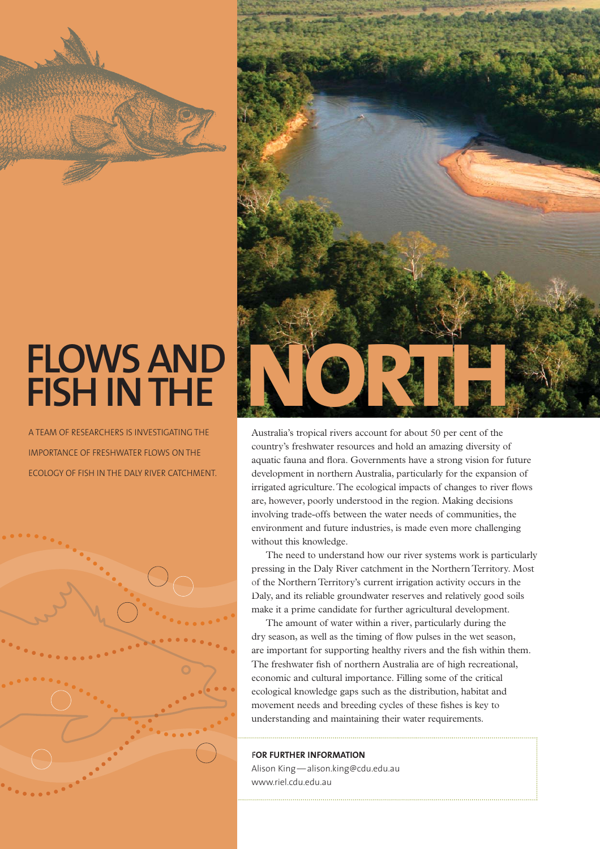

A TEAM OF RESEARCHERS IS INVESTIGATING THE IMPORTANCE OF FRESHWATER FLOWS ON THE ECOLOGY OF FISH IN THE DALY RIVER CATCHMENT.





Australia's tropical rivers account for about 50 per cent of the country's freshwater resources and hold an amazing diversity of aquatic fauna and flora. Governments have a strong vision for future development in northern Australia, particularly for the expansion of irrigated agriculture. The ecological impacts of changes to river flows are, however, poorly understood in the region. Making decisions involving trade-offs between the water needs of communities, the environment and future industries, is made even more challenging without this knowledge.

The need to understand how our river systems work is particularly pressing in the Daly River catchment in the Northern Territory. Most of the Northern Territory's current irrigation activity occurs in the of Daly, and its reliable groundwater reserves and relatively good soils Dmake it a prime candidate for further agricultural development.

The amount of water within a river, particularly during the dry season, as well as the timing of flow pulses in the wet season, are important for supporting healthy rivers and the fish within them. The freshwater fish of northern Australia are of high recreational, economic and cultural importance. Filling some of the critical ecological knowledge gaps such as the distribution, habitat and movement needs and breeding cycles of these fishes is key to understanding and maintaining their water requirements.

### **FOR FURTHER INFORMATION F**

Alison King — alison.king@cdu.edu.au www.riel.cdu.edu.au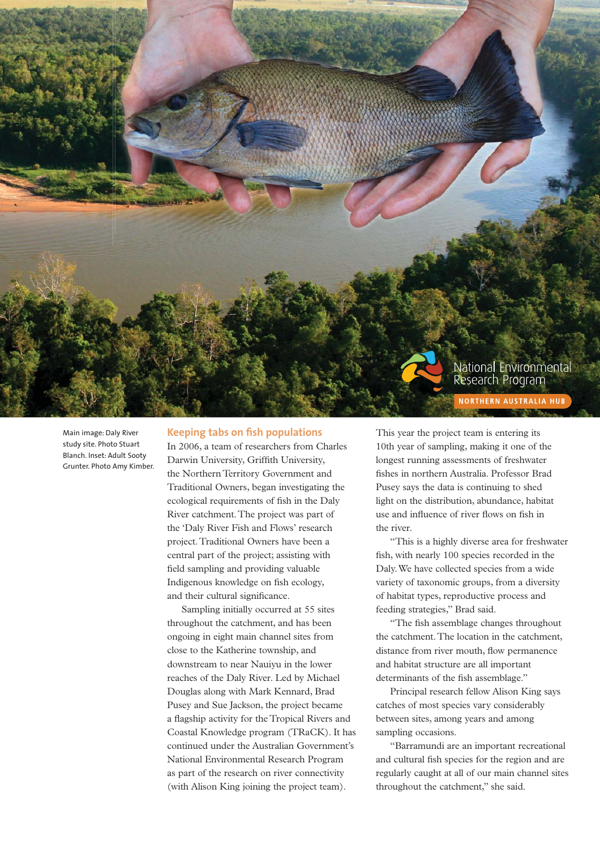

Main image: Daly River study site. Photo Stuart Blanch. Inset: Adult Sooty Grunter. Photo Amy Kimber.

### **Keeping tabs on fish populations**

In 2006, a team of researchers from Charles Darwin University, Griffith University, the Northern Territory Government and Traditional Owners, began investigating the ecological requirements of fish in the Daly River catchment. The project was part of the 'Daly River Fish and Flows' research project. Traditional Owners have been a central part of the project; assisting with field sampling and providing valuable Indigenous knowledge on fish ecology, and their cultural significance.

Sampling initially occurred at 55 sites throughout the catchment, and has been ongoing in eight main channel sites from close to the Katherine township, and downstream to near Nauiyu in the lower reaches of the Daly River. Led by Michael Douglas along with Mark Kennard, Brad Pusey and Sue Jackson, the project became a flagship activity for the Tropical Rivers and Coastal Knowledge program (TRaCK). It has continued under the Australian Government's National Environmental Research Program as part of the research on river connectivity (with Alison King joining the project team).

This year the project team is entering its 10th year of sampling, making it one of the longest running assessments of freshwater fishes in northern Australia. Professor Brad Pusey says the data is continuing to shed light on the distribution, abundance, habitat use and influence of river flows on fish in the river.

"This is a highly diverse area for freshwater fish, with nearly 100 species recorded in the Daly. We have collected species from a wide variety of taxonomic groups, from a diversity of habitat types, reproductive process and feeding strategies," Brad said.

"The fish assemblage changes throughout the catchment. The location in the catchment, distance from river mouth, flow permanence and habitat structure are all important determinants of the fish assemblage."

Principal research fellow Alison King says catches of most species vary considerably between sites, among years and among sampling occasions.

"Barramundi are an important recreational and cultural fish species for the region and are regularly caught at all of our main channel sites throughout the catchment," she said.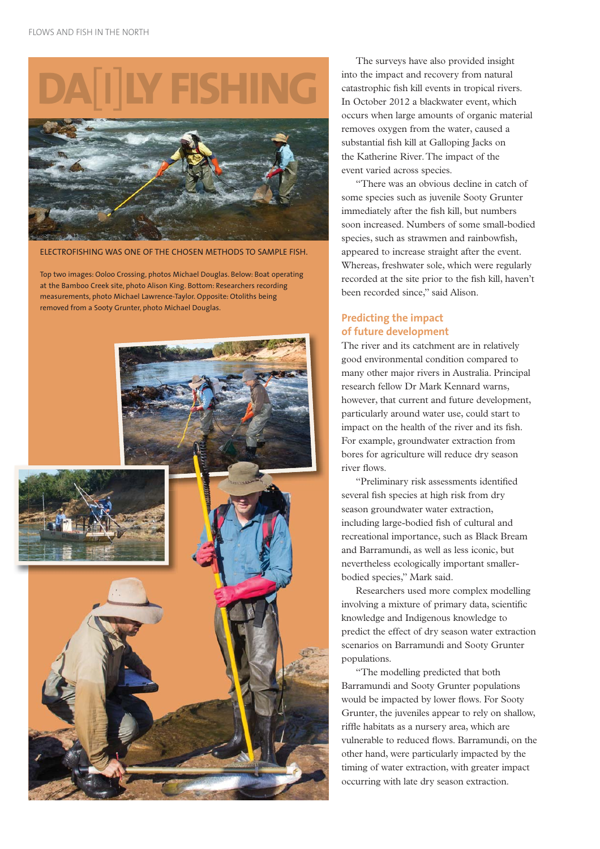# **DA**[**I**]**LY FISHING**



ELECTROFISHING WAS ONE OF THE CHOSEN METHODS TO SAMPLE FISH.

Top two images: Ooloo Crossing, photos Michael Douglas. Below: Boat operating at the Bamboo Creek site, photo Alison King. Bottom: Researchers recording measurements, photo Michael Lawrence-Taylor. Opposite: Otoliths being removed from a Sooty Grunter, photo Michael Douglas.



The surveys have also provided insight into the impact and recovery from natural catastrophic fish kill events in tropical rivers. In October 2012 a blackwater event, which occurs when large amounts of organic material removes oxygen from the water, caused a substantial fish kill at Galloping Jacks on the Katherine River. The impact of the event varied across species.

"There was an obvious decline in catch of some species such as juvenile Sooty Grunter immediately after the fish kill, but numbers soon increased. Numbers of some small-bodied species, such as strawmen and rainbowfish, appeared to increase straight after the event. Whereas, freshwater sole, which were regularly recorded at the site prior to the fish kill, haven't been recorded since," said Alison.

### **Predicting the impact of future development**

The river and its catchment are in relatively good environmental condition compared to many other major rivers in Australia. Principal research fellow Dr Mark Kennard warns, however, that current and future development, particularly around water use, could start to impact on the health of the river and its fish. For example, groundwater extraction from bores for agriculture will reduce dry season river flows.

"Preliminary risk assessments identified several fish species at high risk from dry season groundwater water extraction, including large-bodied fish of cultural and recreational importance, such as Black Bream and Barramundi, as well as less iconic, but nevertheless ecologically important smallerbodied species," Mark said.

Researchers used more complex modelling involving a mixture of primary data, scientific knowledge and Indigenous knowledge to predict the effect of dry season water extraction scenarios on Barramundi and Sooty Grunter populations.

"The modelling predicted that both Barramundi and Sooty Grunter populations would be impacted by lower flows. For Sooty Grunter, the juveniles appear to rely on shallow, riffle habitats as a nursery area, which are vulnerable to reduced flows. Barramundi, on the other hand, were particularly impacted by the timing of water extraction, with greater impact occurring with late dry season extraction.